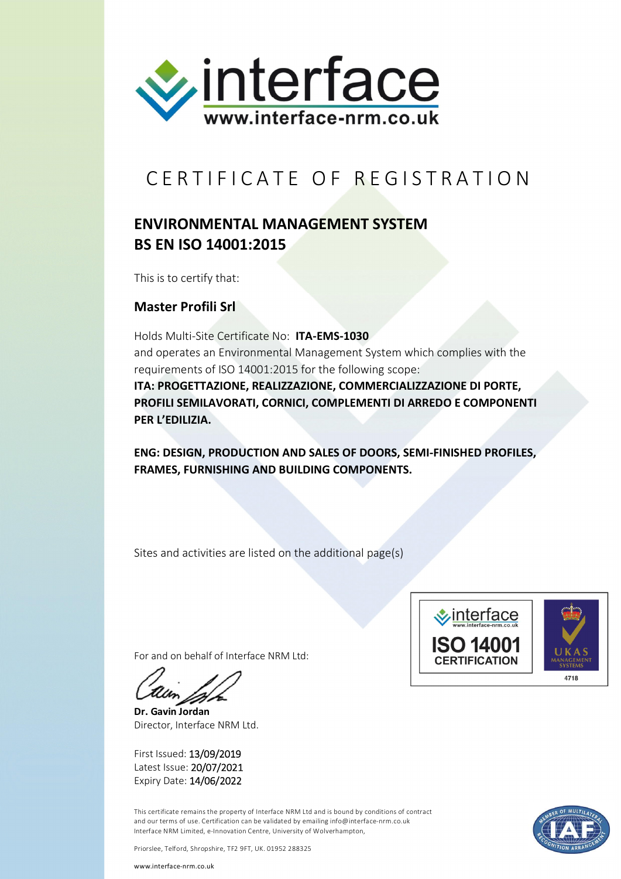

## CERTIFICATE OF REGISTRATION

## **ENVIRONMENTAL MANAGEMENT SYSTEM BS EN ISO 14001:2015**

This is to certify that:

## **Master Profili Srl**

Holds Multi-Site Certificate No: **ITA-EMS-1030** and operates an Environmental Management System which complies with the requirements of ISO 14001:2015 for the following scope: **ITA: PROGETTAZIONE, REALIZZAZIONE, COMMERCIALIZZAZIONE DI PORTE, PROFILI SEMILAVORATI, CORNICI, COMPLEMENTI DI ARREDO E COMPONENTI PER L'EDILIZIA.**

**ENG: DESIGN, PRODUCTION AND SALES OF DOORS, SEMI-FINISHED PROFILES, FRAMES, FURNISHING AND BUILDING COMPONENTS.**

Sites and activities are listed on the additional page(s)

For and on behalf of Interface NRM Ltd:

**Dr. Gavin Jordan** Director, Interface NRM Ltd.

First Issued: 13/09/2019 Latest Issue: 20/07/2021 Expiry Date: 14/06/2022



This certificate remains the property of Interface NRM Ltd and is bound by conditions of contract and our terms of use. Certification can be validated by emailing info@interface-nrm.co.uk Interface NRM Limited, e-Innovation Centre, University of Wolverhampton,



www.interface-nrm.co.uk